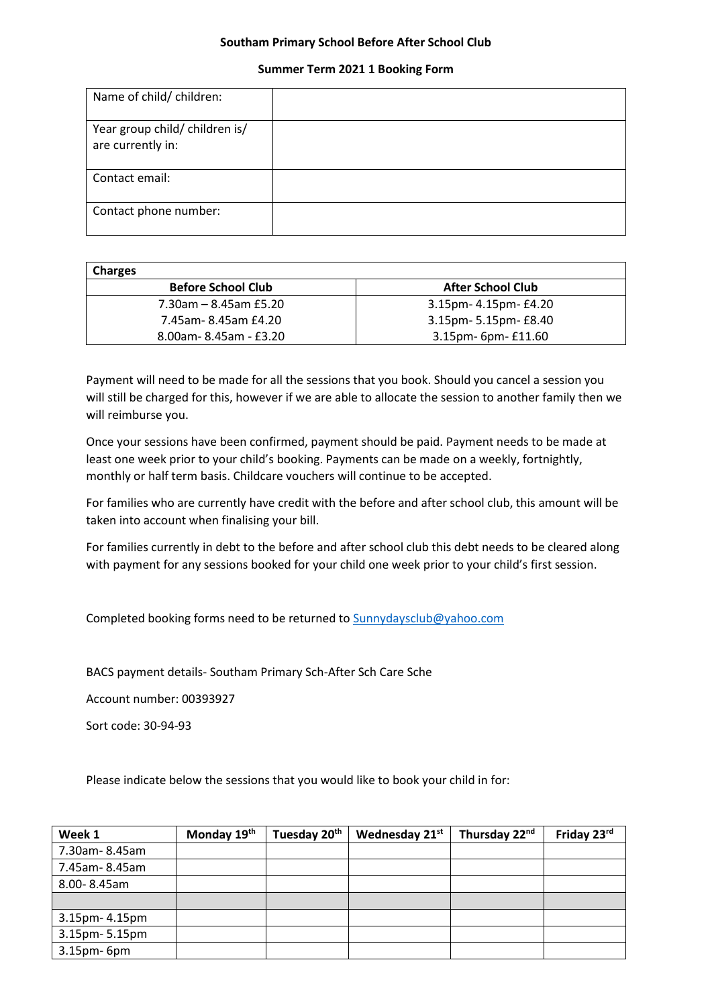## **Southam Primary School Before After School Club**

## **Summer Term 2021 1 Booking Form**

| Name of child/ children:                            |  |
|-----------------------------------------------------|--|
| Year group child/ children is/<br>are currently in: |  |
| Contact email:                                      |  |
| Contact phone number:                               |  |

| <b>Charges</b>            |                          |
|---------------------------|--------------------------|
| <b>Before School Club</b> | <b>After School Club</b> |
| $7.30$ am – 8.45am £5.20  | 3.15pm- 4.15pm- £4.20    |
| 7.45am-8.45am £4.20       | 3.15pm- 5.15pm- £8.40    |
| 8.00am-8.45am - £3.20     | 3.15pm- 6pm- £11.60      |

Payment will need to be made for all the sessions that you book. Should you cancel a session you will still be charged for this, however if we are able to allocate the session to another family then we will reimburse you.

Once your sessions have been confirmed, payment should be paid. Payment needs to be made at least one week prior to your child's booking. Payments can be made on a weekly, fortnightly, monthly or half term basis. Childcare vouchers will continue to be accepted.

For families who are currently have credit with the before and after school club, this amount will be taken into account when finalising your bill.

For families currently in debt to the before and after school club this debt needs to be cleared along with payment for any sessions booked for your child one week prior to your child's first session.

Completed booking forms need to be returned to [Sunnydaysclub@yahoo.com](mailto:Sunnydaysclub@yahoo.com)

BACS payment details- Southam Primary Sch-After Sch Care Sche

Account number: 00393927

Sort code: 30-94-93

Please indicate below the sessions that you would like to book your child in for:

| Week 1         | Monday 19th | Tuesday 20 <sup>th</sup> | Wednesday 21st | Thursday 22nd | Friday 23rd |
|----------------|-------------|--------------------------|----------------|---------------|-------------|
| 7.30am-8.45am  |             |                          |                |               |             |
| 7.45am-8.45am  |             |                          |                |               |             |
| 8.00-8.45am    |             |                          |                |               |             |
|                |             |                          |                |               |             |
| 3.15pm- 4.15pm |             |                          |                |               |             |
| 3.15pm-5.15pm  |             |                          |                |               |             |
| 3.15pm-6pm     |             |                          |                |               |             |